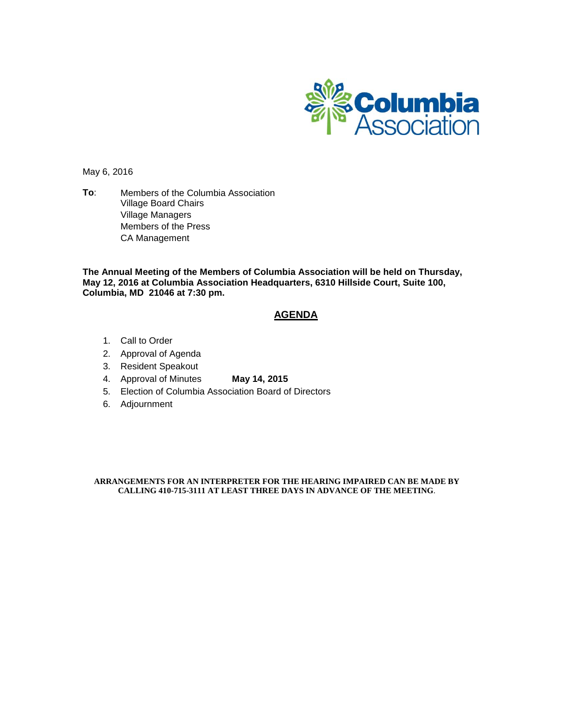

May 6, 2016

**To**: Members of the Columbia Association Village Board Chairs Village Managers Members of the Press CA Management

**The Annual Meeting of the Members of Columbia Association will be held on Thursday, May 12, 2016 at Columbia Association Headquarters, 6310 Hillside Court, Suite 100, Columbia, MD 21046 at 7:30 pm.**

#### **AGENDA**

- 1. Call to Order
- 2. Approval of Agenda
- 3. Resident Speakout
- 4. Approval of Minutes **May 14, 2015**
- 5. Election of Columbia Association Board of Directors
- 6. Adjournment

#### **ARRANGEMENTS FOR AN INTERPRETER FOR THE HEARING IMPAIRED CAN BE MADE BY CALLING 410-715-3111 AT LEAST THREE DAYS IN ADVANCE OF THE MEETING**.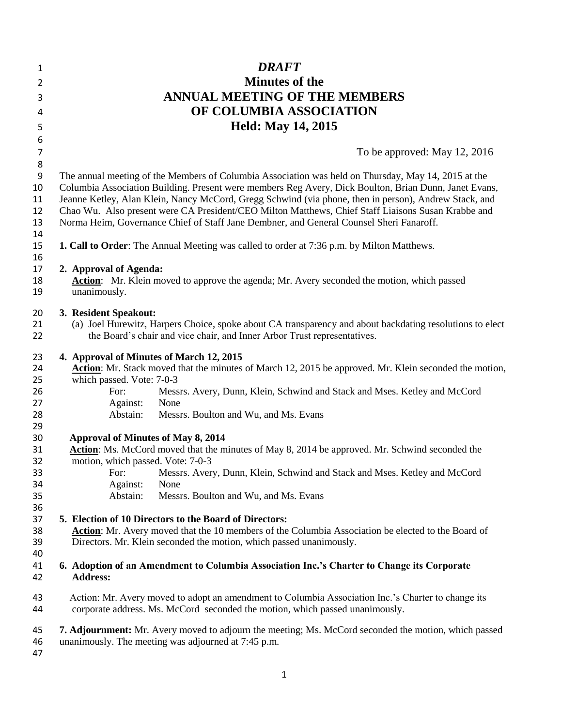| 1                         | <b>DRAFT</b>                                                                                                                                                                       |
|---------------------------|------------------------------------------------------------------------------------------------------------------------------------------------------------------------------------|
| 2                         | <b>Minutes of the</b>                                                                                                                                                              |
| 3                         | <b>ANNUAL MEETING OF THE MEMBERS</b>                                                                                                                                               |
| 4                         | OF COLUMBIA ASSOCIATION                                                                                                                                                            |
|                           | <b>Held: May 14, 2015</b>                                                                                                                                                          |
| 5<br>6                    |                                                                                                                                                                                    |
|                           |                                                                                                                                                                                    |
| $\overline{7}$<br>$\bf 8$ | To be approved: May 12, 2016                                                                                                                                                       |
| 9                         | The annual meeting of the Members of Columbia Association was held on Thursday, May 14, 2015 at the                                                                                |
| 10                        | Columbia Association Building. Present were members Reg Avery, Dick Boulton, Brian Dunn, Janet Evans,                                                                              |
| 11                        | Jeanne Ketley, Alan Klein, Nancy McCord, Gregg Schwind (via phone, then in person), Andrew Stack, and                                                                              |
| 12                        | Chao Wu. Also present were CA President/CEO Milton Matthews, Chief Staff Liaisons Susan Krabbe and                                                                                 |
| 13                        | Norma Heim, Governance Chief of Staff Jane Dembner, and General Counsel Sheri Fanaroff.                                                                                            |
| 14                        |                                                                                                                                                                                    |
| 15                        | <b>1. Call to Order:</b> The Annual Meeting was called to order at 7:36 p.m. by Milton Matthews.                                                                                   |
| 16                        |                                                                                                                                                                                    |
| 17                        | 2. Approval of Agenda:                                                                                                                                                             |
| 18                        | Action: Mr. Klein moved to approve the agenda; Mr. Avery seconded the motion, which passed                                                                                         |
| 19                        | unanimously.                                                                                                                                                                       |
| 20                        | 3. Resident Speakout:                                                                                                                                                              |
| 21                        | (a) Joel Hurewitz, Harpers Choice, spoke about CA transparency and about backdating resolutions to elect                                                                           |
| 22                        | the Board's chair and vice chair, and Inner Arbor Trust representatives.                                                                                                           |
|                           |                                                                                                                                                                                    |
| 23                        | 4. Approval of Minutes of March 12, 2015                                                                                                                                           |
| 24                        | Action: Mr. Stack moved that the minutes of March 12, 2015 be approved. Mr. Klein seconded the motion,                                                                             |
| 25<br>26                  | which passed. Vote: 7-0-3<br>For:<br>Messrs. Avery, Dunn, Klein, Schwind and Stack and Mses. Ketley and McCord                                                                     |
| 27                        | Against:<br>None                                                                                                                                                                   |
| 28                        | Abstain:<br>Messrs. Boulton and Wu, and Ms. Evans                                                                                                                                  |
| 29                        |                                                                                                                                                                                    |
| 30                        | <b>Approval of Minutes of May 8, 2014</b>                                                                                                                                          |
| 31                        | Action: Ms. McCord moved that the minutes of May 8, 2014 be approved. Mr. Schwind seconded the                                                                                     |
| 32                        | motion, which passed. Vote: 7-0-3                                                                                                                                                  |
| 33                        | For: Messrs. Avery, Dunn, Klein, Schwind and Stack and Mses. Ketley and McCord                                                                                                     |
| 34                        | Against:<br>None                                                                                                                                                                   |
| 35                        | Abstain:<br>Messrs. Boulton and Wu, and Ms. Evans                                                                                                                                  |
| 36                        |                                                                                                                                                                                    |
| 37<br>38                  | 5. Election of 10 Directors to the Board of Directors:                                                                                                                             |
| 39                        | Action: Mr. Avery moved that the 10 members of the Columbia Association be elected to the Board of<br>Directors. Mr. Klein seconded the motion, which passed unanimously.          |
| 40                        |                                                                                                                                                                                    |
| 41                        | 6. Adoption of an Amendment to Columbia Association Inc.'s Charter to Change its Corporate                                                                                         |
| 42                        | <b>Address:</b>                                                                                                                                                                    |
| 43<br>44                  | Action: Mr. Avery moved to adopt an amendment to Columbia Association Inc.'s Charter to change its<br>corporate address. Ms. McCord seconded the motion, which passed unanimously. |
|                           |                                                                                                                                                                                    |
| 45<br>46                  | 7. Adjournment: Mr. Avery moved to adjourn the meeting; Ms. McCord seconded the motion, which passed<br>unanimously. The meeting was adjourned at 7:45 p.m.                        |
| 47                        |                                                                                                                                                                                    |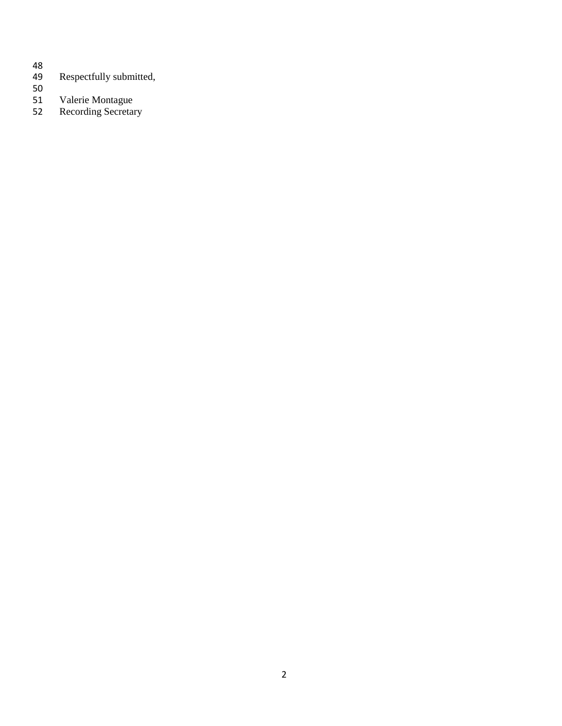- 
- Respectfully submitted,
- 50<br>51
- Valerie Montague
- Recording Secretary